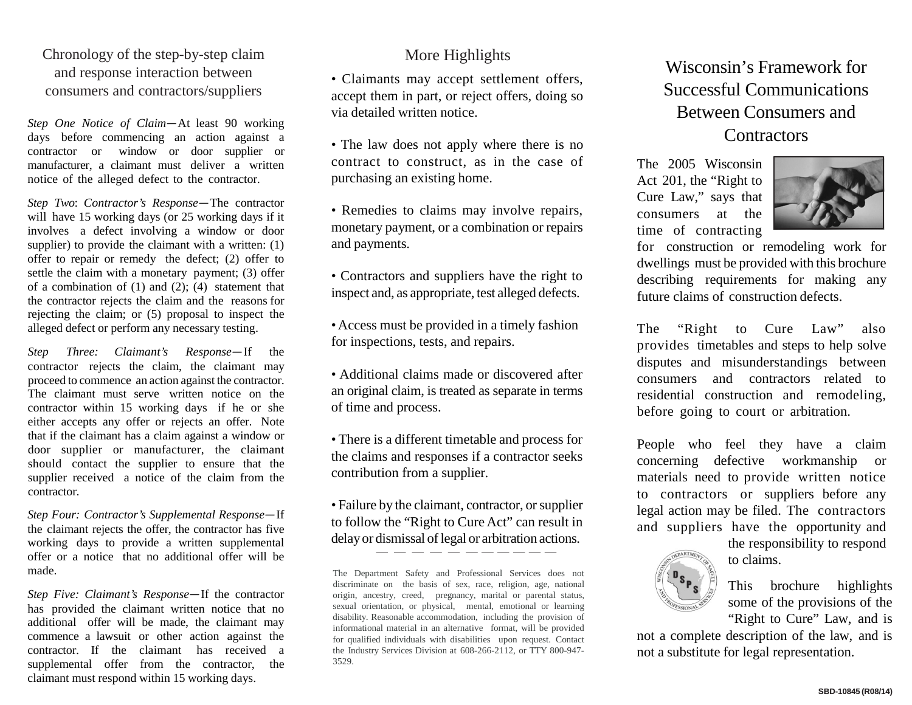## Chronology of the step-by-step claim and response interaction between consumers and contractors/suppliers

*Step One Notice of Claim—*At least 90 working days before commencing an action against a contractor or window or door supplier or manufacturer, a claimant must deliver a written notice of the alleged defect to the contractor.

*Step Two*: *Contractor's Response—*The contractor will have 15 working days (or 25 working days if it involves a defect involving a window or door supplier) to provide the claimant with a written: (1) offer to repair or remedy the defect; (2) offer to settle the claim with a monetary payment; (3) offer of a combination of  $(1)$  and  $(2)$ ;  $(4)$  statement that the contractor rejects the claim and the reasons for rejecting the claim; or (5) proposal to inspect the alleged defect or perform any necessary testing.

*Step Three: Claimant's Response—*If the contractor rejects the claim, the claimant may proceed to commence an action against the contractor. The claimant must serve written notice on the contractor within 15 working days if he or she either accepts any offer or rejects an offer. Note that if the claimant has a claim against a window or door supplier or manufacturer, the claimant should contact the supplier to ensure that the supplier received a notice of the claim from the contractor.

*Step Four: Contractor's Supplemental Response—*If the claimant rejects the offer, the contractor has five working days to provide a written supplemental offer or a notice that no additional offer will be made.

*Step Five: Claimant's Response—*If the contractor has provided the claimant written notice that no additional offer will be made, the claimant may commence a lawsuit or other action against the contractor. If the claimant has received a supplemental offer from the contractor, the claimant must respond within 15 working days.

## More Highlights

• Claimants may accept settlement offers, accept them in part, or reject offers, doing so via detailed written notice.

• The law does not apply where there is no contract to construct, as in the case of purchasing an existing home.

• Remedies to claims may involve repairs, monetary payment, or a combination or repairs and payments.

• Contractors and suppliers have the right to inspect and, as appropriate, test alleged defects.

•Access must be provided in a timely fashion for inspections, tests, and repairs.

• Additional claims made or discovered after an original claim, is treated as separate in terms of time and process.

• There is a different timetable and process for the claims and responses if a contractor seeks contribution from a supplier.

• Failure by the claimant, contractor, or supplier to follow the "Right to Cure Act" can result in delay or dismissal of legal or arbitration actions.

The Department Safety and Professional Services does not discriminate on the basis of sex, race, religion, age, national origin, ancestry, creed, pregnancy, marital or parental status, sexual orientation, or physical, mental, emotional or learning disability. Reasonable accommodation, including the provision of informational material in an alternative format, will be provided for qualified individuals with disabilities upon request. Contact the Industry Services Division at 608-266-2112, or TTY 800-947- 3529.

## Wisconsin's Framework for Successful Communications Between Consumers and **Contractors**

The 2005 Wisconsin Act 201, the "Right to Cure Law," says that consumers at the time of contracting



for construction or remodeling work for dwellings must be provided with this brochure describing requirements for making any future claims of construction defects.

The "Right to Cure Law" also provides timetables and steps to help solve disputes and misunderstandings between consumers and contractors related to residential construction and remodeling, before going to court or arbitration.

People who feel they have a claim concerning defective workmanship or materials need to provide written notice to contractors or suppliers before any legal action may be filed. The contractors and suppliers have the opportunity and



the responsibility to respond to claims.

This brochure highlights some of the provisions of the "Right to Cure" Law, and is

not a complete description of the law, and is not a substitute for legal representation.